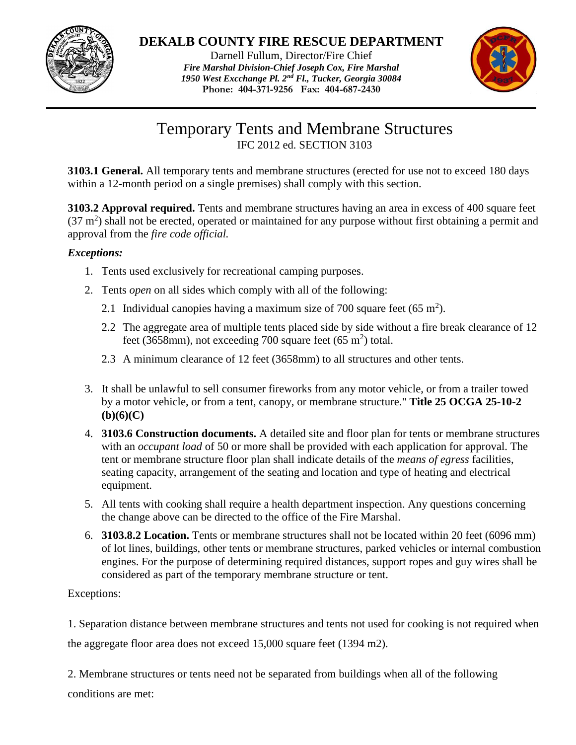

### **DEKALB COUNTY FIRE RESCUE DEPARTMENT**

Darnell Fullum, Director/Fire Chief *Fire Marshal Division-Chief Joseph Cox, Fire Marshal 1950 West Excchange Pl. 2nd Fl., Tucker, Georgia 30084* **Phone: 404-371-9256 Fax: 404-687-2430**



## Temporary Tents and Membrane Structures IFC 2012 ed. SECTION 3103

**3103.1 General.** All temporary tents and membrane structures (erected for use not to exceed 180 days within a 12-month period on a single premises) shall comply with this section.

**3103.2 Approval required.** Tents and membrane structures having an area in excess of 400 square feet  $(37 \text{ m}^2)$  shall not be erected, operated or maintained for any purpose without first obtaining a permit and approval from the *fire code official.*

### *Exceptions:*

- 1. Tents used exclusively for recreational camping purposes.
- 2. Tents *open* on all sides which comply with all of the following:
	- 2.1 Individual canopies having a maximum size of 700 square feet  $(65 \text{ m}^2)$ .
	- 2.2 The aggregate area of multiple tents placed side by side without a fire break clearance of 12 feet (3658mm), not exceeding 700 square feet (65 m<sup>2</sup>) total.
	- 2.3 A minimum clearance of 12 feet (3658mm) to all structures and other tents.
- 3. It shall be unlawful to sell consumer fireworks from any motor vehicle, or from a trailer towed by a motor vehicle, or from a tent, canopy, or membrane structure." **Title 25 OCGA 25-10-2 (b)(6)(C)**
- 4. **3103.6 Construction documents.** A detailed site and floor plan for tents or membrane structures with an *occupant load* of 50 or more shall be provided with each application for approval. The tent or membrane structure floor plan shall indicate details of the *means of egress* facilities, seating capacity, arrangement of the seating and location and type of heating and electrical equipment.
- 5. All tents with cooking shall require a health department inspection. Any questions concerning the change above can be directed to the office of the Fire Marshal.
- 6. **3103.8.2 Location.** Tents or membrane structures shall not be located within 20 feet (6096 mm) of lot lines, buildings, other tents or membrane structures, parked vehicles or internal combustion engines. For the purpose of determining required distances, support ropes and guy wires shall be considered as part of the temporary membrane structure or tent.

### Exceptions:

1. Separation distance between membrane structures and tents not used for cooking is not required when the aggregate floor area does not exceed 15,000 square feet (1394 m2).

2. Membrane structures or tents need not be separated from buildings when all of the following conditions are met: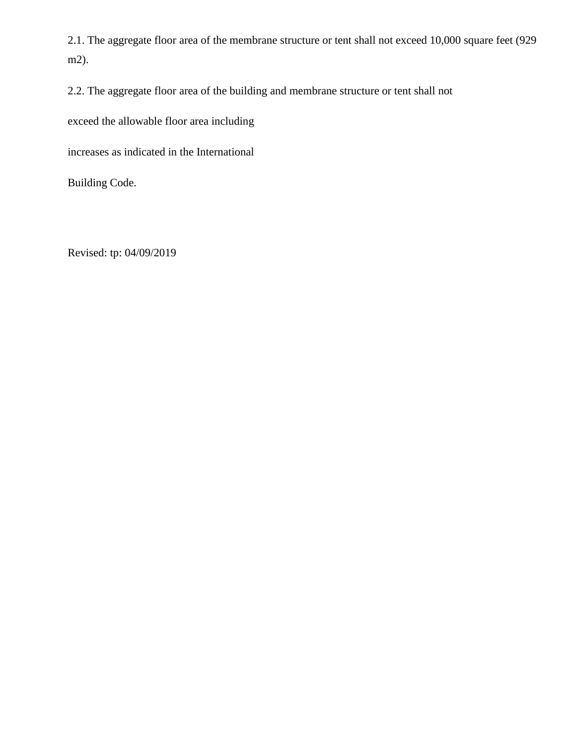2.1. The aggregate floor area of the membrane structure or tent shall not exceed 10,000 square feet (929 m2).

2.2. The aggregate floor area of the building and membrane structure or tent shall not

exceed the allowable floor area including

increases as indicated in the International

Building Code.

Revised: tp: 04/09/2019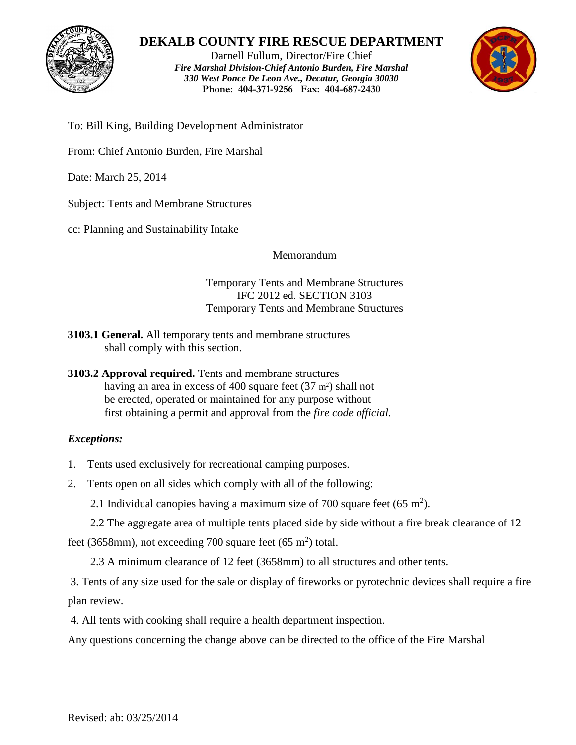

### **DEKALB COUNTY FIRE RESCUE DEPARTMENT**

Darnell Fullum, Director/Fire Chief *Fire Marshal Division-Chief Antonio Burden, Fire Marshal 330 West Ponce De Leon Ave., Decatur, Georgia 30030* **Phone: 404-371-9256 Fax: 404-687-2430**



To: Bill King, Building Development Administrator

From: Chief Antonio Burden, Fire Marshal

Date: March 25, 2014

Subject: Tents and Membrane Structures

cc: Planning and Sustainability Intake

Memorandum

Temporary Tents and Membrane Structures IFC 2012 ed. SECTION 3103 Temporary Tents and Membrane Structures

- **3103.1 General.** All temporary tents and membrane structures shall comply with this section.
- **3103.2 Approval required.** Tents and membrane structures having an area in excess of 400 square feet  $(37 \text{ m}^2)$  shall not be erected, operated or maintained for any purpose without first obtaining a permit and approval from the *fire code official.*

### *Exceptions:*

- 1. Tents used exclusively for recreational camping purposes.
- 2. Tents open on all sides which comply with all of the following:

2.1 Individual canopies having a maximum size of 700 square feet  $(65 \text{ m}^2)$ .

2.2 The aggregate area of multiple tents placed side by side without a fire break clearance of 12

feet (3658mm), not exceeding 700 square feet (65 m<sup>2</sup>) total.

2.3 A minimum clearance of 12 feet (3658mm) to all structures and other tents.

3. Tents of any size used for the sale or display of fireworks or pyrotechnic devices shall require a fire plan review.

4. All tents with cooking shall require a health department inspection.

Any questions concerning the change above can be directed to the office of the Fire Marshal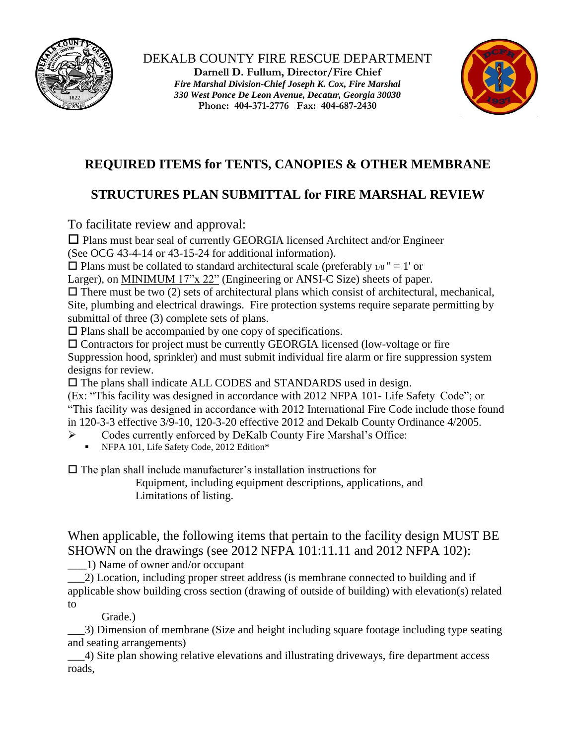



# **REQUIRED ITEMS for TENTS, CANOPIES & OTHER MEMBRANE**

# **STRUCTURES PLAN SUBMITTAL for FIRE MARSHAL REVIEW**

To facilitate review and approval:

 $\Box$  Plans must bear seal of currently GEORGIA licensed Architect and/or Engineer (See OCG 43-4-14 or 43-15-24 for additional information).

 $\square$  Plans must be collated to standard architectural scale (preferably  $\frac{1}{8}$  " = 1' or

Larger), on MINIMUM 17"x 22" (Engineering or ANSI-C Size) sheets of paper.

 $\Box$  There must be two (2) sets of architectural plans which consist of architectural, mechanical, Site, plumbing and electrical drawings. Fire protection systems require separate permitting by submittal of three (3) complete sets of plans.

 $\square$  Plans shall be accompanied by one copy of specifications.

 $\square$  Contractors for project must be currently GEORGIA licensed (low-voltage or fire Suppression hood, sprinkler) and must submit individual fire alarm or fire suppression system designs for review.

The plans shall indicate ALL CODES and STANDARDS used in design.

(Ex: "This facility was designed in accordance with 2012 NFPA 101- Life Safety Code"; or "This facility was designed in accordance with 2012 International Fire Code include those found in 120-3-3 effective 3/9-10, 120-3-20 effective 2012 and Dekalb County Ordinance 4/2005.

- Codes currently enforced by DeKalb County Fire Marshal's Office:
	- NFPA 101, Life Safety Code, 2012 Edition\*

 $\Box$  The plan shall include manufacturer's installation instructions for

Equipment, including equipment descriptions, applications, and Limitations of listing.

When applicable, the following items that pertain to the facility design MUST BE SHOWN on the drawings (see 2012 NFPA 101:11.11 and 2012 NFPA 102):

\_\_\_\_1) Name of owner and/or occupant

\_\_\_2) Location, including proper street address (is membrane connected to building and if applicable show building cross section (drawing of outside of building) with elevation(s) related to

Grade.)

\_\_\_3) Dimension of membrane (Size and height including square footage including type seating and seating arrangements)

\_\_\_4) Site plan showing relative elevations and illustrating driveways, fire department access roads,